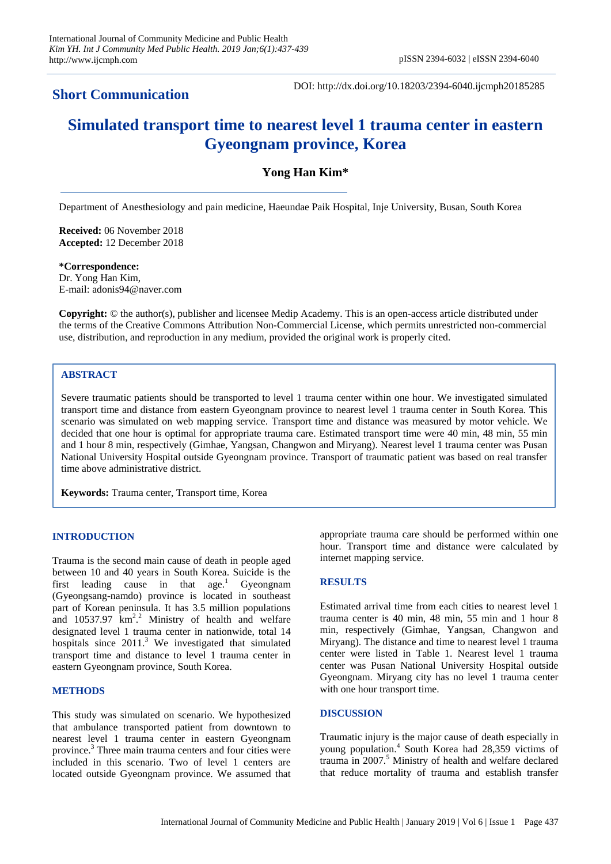# **Short Communication**

DOI: http://dx.doi.org/10.18203/2394-6040.ijcmph20185285

# **Simulated transport time to nearest level 1 trauma center in eastern Gyeongnam province, Korea**

# **Yong Han Kim\***

Department of Anesthesiology and pain medicine, Haeundae Paik Hospital, Inje University, Busan, South Korea

**Received:** 06 November 2018 **Accepted:** 12 December 2018

**\*Correspondence:**

Dr. Yong Han Kim, E-mail: adonis94@naver.com

**Copyright:** © the author(s), publisher and licensee Medip Academy. This is an open-access article distributed under the terms of the Creative Commons Attribution Non-Commercial License, which permits unrestricted non-commercial use, distribution, and reproduction in any medium, provided the original work is properly cited.

#### **ABSTRACT**

Severe traumatic patients should be transported to level 1 trauma center within one hour. We investigated simulated transport time and distance from eastern Gyeongnam province to nearest level 1 trauma center in South Korea. This scenario was simulated on web mapping service. Transport time and distance was measured by motor vehicle. We decided that one hour is optimal for appropriate trauma care. Estimated transport time were 40 min, 48 min, 55 min and 1 hour 8 min, respectively (Gimhae, Yangsan, Changwon and Miryang). Nearest level 1 trauma center was Pusan National University Hospital outside Gyeongnam province. Transport of traumatic patient was based on real transfer time above administrative district.

**Keywords:** Trauma center, Transport time, Korea

### **INTRODUCTION**

Trauma is the second main cause of death in people aged between 10 and 40 years in South Korea. Suicide is the first leading cause in that age.<sup>1</sup> Gyeongnam (Gyeongsang-namdo) province is located in southeast part of Korean peninsula. It has 3.5 million populations and  $10537.97 \text{ km}^2$ . Ministry of health and welfare designated level 1 trauma center in nationwide, total 14 hospitals since  $2011$ .<sup>3</sup> We investigated that simulated transport time and distance to level 1 trauma center in eastern Gyeongnam province, South Korea.

#### **METHODS**

This study was simulated on scenario. We hypothesized that ambulance transported patient from downtown to nearest level 1 trauma center in eastern Gyeongnam province.<sup>3</sup> Three main trauma centers and four cities were included in this scenario. Two of level 1 centers are located outside Gyeongnam province. We assumed that appropriate trauma care should be performed within one hour. Transport time and distance were calculated by internet mapping service.

#### **RESULTS**

Estimated arrival time from each cities to nearest level 1 trauma center is 40 min, 48 min, 55 min and 1 hour 8 min, respectively (Gimhae, Yangsan, Changwon and Miryang). The distance and time to nearest level 1 trauma center were listed in Table 1. Nearest level 1 trauma center was Pusan National University Hospital outside Gyeongnam. Miryang city has no level 1 trauma center with one hour transport time.

# **DISCUSSION**

Traumatic injury is the major cause of death especially in young population.<sup>4</sup> South Korea had 28,359 victims of trauma in 2007.<sup>5</sup> Ministry of health and welfare declared that reduce mortality of trauma and establish transfer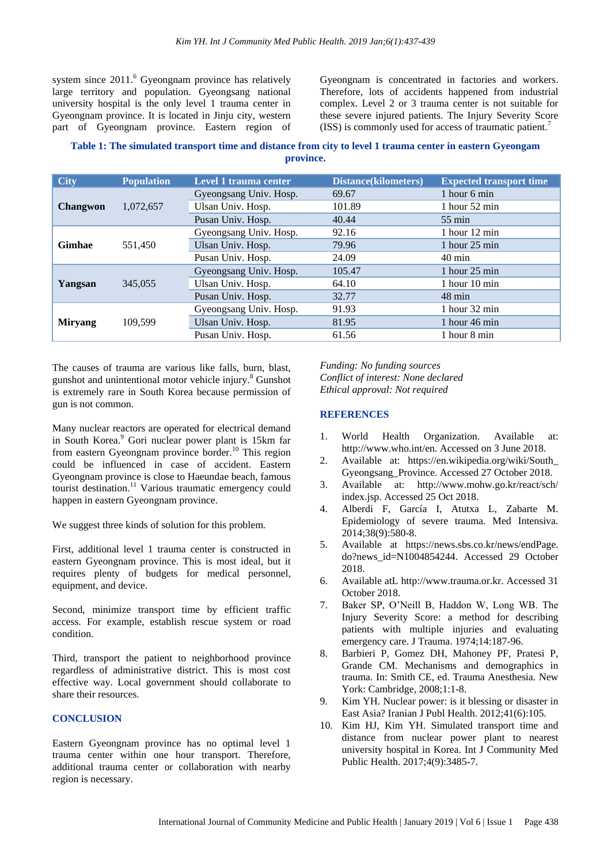system since  $2011<sup>6</sup>$  Gyeongnam province has relatively large territory and population. Gyeongsang national university hospital is the only level 1 trauma center in Gyeongnam province. It is located in Jinju city, western part of Gyeongnam province. Eastern region of Gyeongnam is concentrated in factories and workers. Therefore, lots of accidents happened from industrial complex. Level 2 or 3 trauma center is not suitable for these severe injured patients. The Injury Severity Score (ISS) is commonly used for access of traumatic patient.<sup>7</sup>

# **Table 1: The simulated transport time and distance from city to level 1 trauma center in eastern Gyeongam province.**

| <b>City</b>     | <b>Population</b> | Level 1 trauma center  | <b>Distance</b> (kilometers) | <b>Expected transport time</b> |
|-----------------|-------------------|------------------------|------------------------------|--------------------------------|
| <b>Changwon</b> | 1,072,657         | Gyeongsang Univ. Hosp. | 69.67                        | 1 hour 6 min                   |
|                 |                   | Ulsan Univ. Hosp.      | 101.89                       | 1 hour $52 \text{ min}$        |
|                 |                   | Pusan Univ. Hosp.      | 40.44                        | $55 \text{ min}$               |
| <b>Gimhae</b>   | 551,450           | Gyeongsang Univ. Hosp. | 92.16                        | 1 hour $12 \text{ min}$        |
|                 |                   | Ulsan Univ. Hosp.      | 79.96                        | 1 hour $25 \text{ min}$        |
|                 |                   | Pusan Univ. Hosp.      | 24.09                        | $40 \text{ min}$               |
| Yangsan         | 345,055           | Gyeongsang Univ. Hosp. | 105.47                       | 1 hour $25 \text{ min}$        |
|                 |                   | Ulsan Univ. Hosp.      | 64.10                        | 1 hour $10 \text{ min}$        |
|                 |                   | Pusan Univ. Hosp.      | 32.77                        | $48 \text{ min}$               |
| <b>Mirvang</b>  | 109.599           | Gyeongsang Univ. Hosp. | 91.93                        | 1 hour $32 \text{ min}$        |
|                 |                   | Ulsan Univ. Hosp.      | 81.95                        | 1 hour $46 \text{ min}$        |
|                 |                   | Pusan Univ. Hosp.      | 61.56                        | 1 hour 8 min                   |

The causes of trauma are various like falls, burn, blast, gunshot and unintentional motor vehicle injury.<sup>8</sup> Gunshot is extremely rare in South Korea because permission of gun is not common.

Many nuclear reactors are operated for electrical demand in South Korea.<sup>9</sup> Gori nuclear power plant is 15km far from eastern Gyeongnam province border.<sup>10</sup> This region could be influenced in case of accident. Eastern Gyeongnam province is close to Haeundae beach, famous tourist destination.<sup>11</sup> Various traumatic emergency could happen in eastern Gyeongnam province.

We suggest three kinds of solution for this problem.

First, additional level 1 trauma center is constructed in eastern Gyeongnam province. This is most ideal, but it requires plenty of budgets for medical personnel, equipment, and device.

Second, minimize transport time by efficient traffic access. For example, establish rescue system or road condition.

Third, transport the patient to neighborhood province regardless of administrative district. This is most cost effective way. Local government should collaborate to share their resources.

# **CONCLUSION**

Eastern Gyeongnam province has no optimal level 1 trauma center within one hour transport. Therefore, additional trauma center or collaboration with nearby region is necessary.

*Funding: No funding sources Conflict of interest: None declared Ethical approval: Not required*

# **REFERENCES**

- 1. World Health Organization. Available at: http://www.who.int/en. Accessed on 3 June 2018.
- 2. Available at: https://en.wikipedia.org/wiki/South\_ Gyeongsang\_Province. Accessed 27 October 2018.
- 3. Available at: http://www.mohw.go.kr/react/sch/ index.jsp. Accessed 25 Oct 2018.
- 4. Alberdi F, García I, Atutxa L, Zabarte M. Epidemiology of severe trauma. Med Intensiva. 2014;38(9):580-8.
- 5. Available at https://news.sbs.co.kr/news/endPage. do?news\_id=N1004854244. Accessed 29 October 2018.
- 6. Available atL http://www.trauma.or.kr. Accessed 31 October 2018.
- 7. Baker SP, O'Neill B, Haddon W, Long WB. The Injury Severity Score: a method for describing patients with multiple injuries and evaluating emergency care. J Trauma. 1974;14:187-96.
- 8. Barbieri P, Gomez DH, Mahoney PF, Pratesi P, Grande CM. Mechanisms and demographics in trauma. In: Smith CE, ed. Trauma Anesthesia. New York: Cambridge, 2008;1:1-8.
- 9. Kim YH. Nuclear power: is it blessing or disaster in East Asia? Iranian J Publ Health. 2012;41(6):105.
- 10. Kim HJ, Kim YH. Simulated transport time and distance from nuclear power plant to nearest university hospital in Korea. Int J Community Med Public Health. 2017;4(9):3485-7.